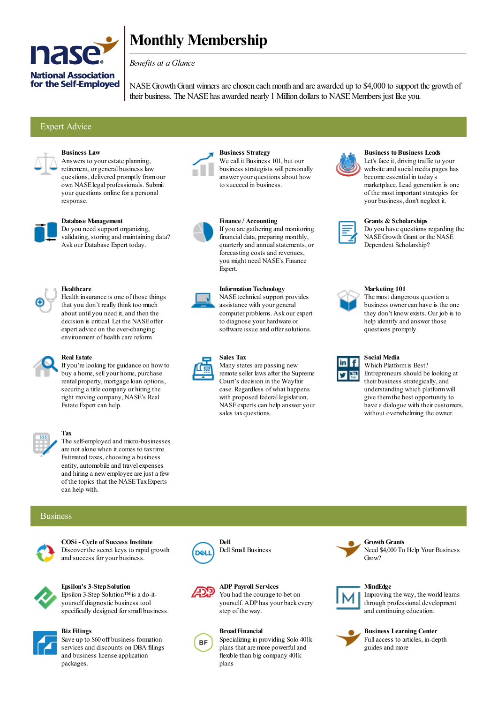

# **Monthly Membership**

## *Benefits at a Glance*

NASE Growth Grant winners are chosen each month and are awarded up to \$4,000 to support the growth of their business. The NASE has awarded nearly 1 Million dollars to NASE Members just like you.

## Expert Advice



## **Business Law**

Answers to your estate planning, retirement, or general business law questions, delivered promptly fromour own NASElegal professionals. Submit your questions online fora personal response.



#### **Database Management**

Do you need support organizing, validating, storing and maintaining data? Ask our Database Expert today.



## **Healthcare**

Health insurance is one of those things that you don't really think too much about until you need it, and then the decision is critical. Let the NASEoffer expert advice on the ever-changing environment of health care reform.



## **Real Estate**

If you're looking for guidance on howto buy a home, sell your home, purchase rental property, mortgage loan options, securing a title company or hiring the right moving company, NASE's Real Estate Expert can help.



#### **Tax**

The self-employed and micro-businesses are not alone when it comes to taxtime. Estimated taxes, choosing a business entity, automobile and travel expenses and hiring a newemployee are just a few of the topics that the NASETaxExperts can help with.

#### Business



**COSi - Cycle of Success Institute** Discover the secret keys to rapid growth and success for your business.



#### **Epsilon's 3-StepSolution** Epsilon 3-Step Solution™is a do-it-

yourself diagnostic business tool specifically designed forsmall business.



**Biz Filings** Save up to \$60 off business formation services and discounts on DBA filings and business license application packages.



**Business Strategy** We call it Business 101, but our business strategists will personally answer your questions about how to succeed in business.



**Finance / Accounting** If you are gathering and monitoring financial data, preparing monthly, quarterly and annualstatements, or forecasting costs and revenues, you might need NASE's Finance Expert.



**Information Technology** NASE technical support provides assistance with your general computer problems. Ask our expert to diagnose your hardware or software issue and offer solutions.



**Sales Tax**

Many states are passing new remote seller laws after the Supreme Court's decision in the Wayfair case. Regardless of what happens with proposed federal legislation, NASEexperts can help answer your sales taxquestions.



## **Business to Business Leads**

Let's face it, driving traffic to your website and socialmedia pages has become essential in today's marketplace. Lead generation is one of the most important strategies for your business, don't neglect it.

| man a |  |
|-------|--|
|       |  |
|       |  |
|       |  |
|       |  |

#### **Grants & Scholarships**

Do you have questions regarding the NASEGrowth Grant or the NASE Dependent Scholarship?



#### **Marketing 101**

The most dangerous question a business owner can have is the one they don't knowexists. Our job is to help identify and answer those questions promptly.



## **Social Media**

Which Platformis Best? Entrepreneurs should be looking at their business strategically, and understanding which platformwill give themthe best opportunity to have a dialogue with their customers, without overwhelming the owner.





**MindEdge** Improving the way, the world learns through professional development and continuing education.



**Business Learning Center** Fullaccess to articles, in-depth guides and more



**Dell** Dell Small Business

**ADP Payroll Services** You had the courage to bet on yourself. ADP has your back every step of the way.

#### **BroadFinancial**

Specializing in providing Solo 401k plans that are more powerful and flexible than big company 401k plans

**GrowthGrants**

Need \$4,000 To Help Your Business Grow?

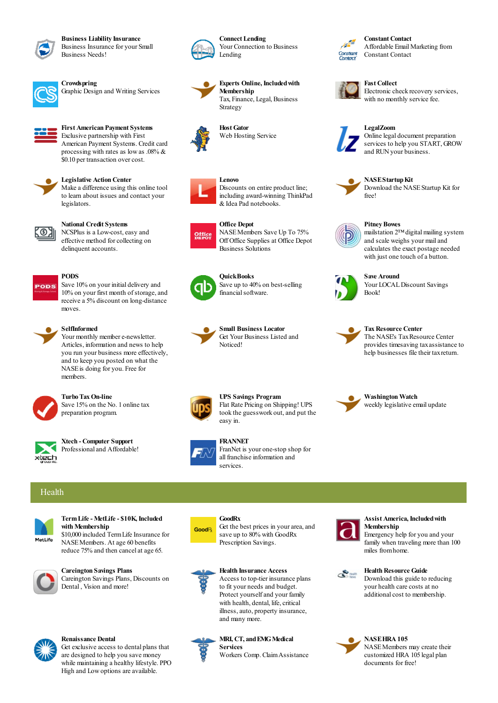

**Business Liability Insurance** Business Insurance for your Small Business Needs!



**Crowdspring** Graphic Design and Writing Services



#### **First American Payment Systems** Exclusive partnership with First

American Payment Systems. Credit card processing with rates as lowas .08% & \$0.10 per transaction overcost.



#### **Legislative Action Center**

Make a difference using this online tool to learn about issues and contact your legislators.



#### **National Credit Systems**

NCSPlus is a Low-cost,easy and effective method forcollecting on delinquent accounts.

Save 10% on your initial delivery and 10% on your first month of storage, and receive a 5% discount on long-distance



## moves.

**PODS**

**SelfInformed** Your monthly member e-newsletter. Articles, information and news to help you run your business more effectively, and to keep you posted on what the NASEis doing for you. Free for members.



**Turbo TaxOn-line** Save 15% on the No. 1 online tax preparation program.



**Xtech - Computer Support** Professional and Affordable!



#### **Connect Lending** Your Connection to Business Lending



**Experts Online, Includedwith Membership** Tax, Finance, Legal, Business Strategy

**HostGator** Web Hosting Service



Discounts on entire product line; including award-winning ThinkPad &Idea Pad notebooks.



**Office Depot** NASEMembers Save Up To 75% Off Office Supplies at Office Depot Business Solutions



**QuickBooks** Save up to 40% on best-selling financial software.



**Small Business Locator** Get Your Business Listed and Noticed!



Flat Rate Pricing on Shipping! UPS took the guesswork out, and put the easy in.







**GoodRx**



FranNet is your one-stop shop for all franchise information and services.

## Health



**TermLife - MetLife - \$10K, Included with Membership** \$10,000 included TermLife Insurance for NASEMembers. At age 60 benefits

reduce 75% and then cancelat age 65.



**Careington Savings Plans** Careington Savings Plans, Discounts on



#### **Renaissance Dental**

Dental , Vision and more!

Get exclusive access to dental plans that are designed to help you save money while maintaining a healthy lifestyle. PPO High and Lowoptions are available.

# **GoodR**



**Health Insurance Access** Access to top-tier insurance plans to fit your needs and budget. Protect yourself and your family with health, dental, life, critical illness, auto, property insurance, and many more.

Get the best prices in your area, and save up to 80% with GoodRx Prescription Savings.

**MRI, CT, and EMG Medical Services**

Workers Comp. ClaimAssistance



#### **Assist America, Includedwith Membership**

Emergency help for you and your family when traveling more than 100 miles fromhome.



**Health Resource Guide** Download this guide to reducing your health care costs at no additional cost to membership.

#### **NASEHRA105** NASEMembers may create their customized HRA 105 legal plan documents for free!



Affordable EmailMarketing from Constant Contact



**Fast Collect**

Electronic check recovery services, with no monthly service fee.



**LegalZoom** Online legal document preparation services to help you START, GROW

and RUN your business.



**NASEStartupKit** 

Download the NASEStartup Kit for free!



**Pitney Bowes**

mailstation 2™digitalmailing system and scale weighs yourmailand calculates the exact postage needed with just one touch of a button.



**Save Around** Your LOCALDiscount Savings Book!



**TaxResource Center**

The NASE's Tax Resource Center provides timesaving taxassistance to help businesses file their taxreturn.



**UPS Savings Program**